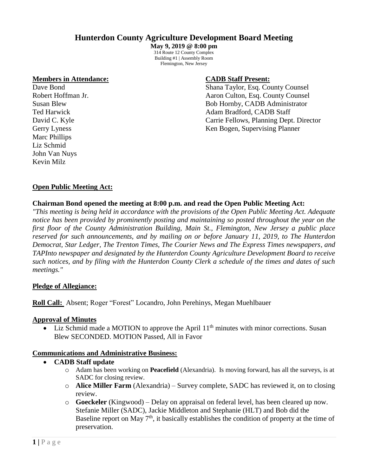# **Hunterdon County Agriculture Development Board Meeting**

**May 9, 2019 @ 8:00 pm** 314 Route 12 County Complex Building #1 | Assembly Room Flemington, New Jersey

#### **Members in Attendance: CADB Staff Present:**

Marc Phillips Liz Schmid John Van Nuys Kevin Milz

Dave Bond Shana Taylor, Esq. County Counsel Robert Hoffman Jr. **Aaron Culton, Esq. County Counsel** Susan Blew Bob Hornby, CADB Administrator Ted Harwick **Adam Bradford, CADB Staff** David C. Kyle Carrie Fellows, Planning Dept. Director Gerry Lyness Ken Bogen, Supervising Planner

#### **Open Public Meeting Act:**

#### **Chairman Bond opened the meeting at 8:00 p.m. and read the Open Public Meeting Act:**

*"This meeting is being held in accordance with the provisions of the Open Public Meeting Act. Adequate notice has been provided by prominently posting and maintaining so posted throughout the year on the first floor of the County Administration Building, Main St., Flemington, New Jersey a public place reserved for such announcements, and by mailing on or before January 11, 2019, to The Hunterdon Democrat, Star Ledger, The Trenton Times, The Courier News and The Express Times newspapers, and TAPInto newspaper and designated by the Hunterdon County Agriculture Development Board to receive such notices, and by filing with the Hunterdon County Clerk a schedule of the times and dates of such meetings."*

#### **Pledge of Allegiance:**

#### **Roll Call:** Absent; Roger "Forest" Locandro, John Perehinys, Megan Muehlbauer

#### **Approval of Minutes**

• Liz Schmid made a MOTION to approve the April  $11<sup>th</sup>$  minutes with minor corrections. Susan Blew SECONDED. MOTION Passed, All in Favor

#### **Communications and Administrative Business:**

- **CADB Staff update**
	- o Adam has been working on **Peacefield** (Alexandria). Is moving forward, has all the surveys, is at SADC for closing review.
	- o **Alice Miller Farm** (Alexandria) Survey complete, SADC has reviewed it, on to closing review.
	- o **Goeckeler** (Kingwood) Delay on appraisal on federal level, has been cleared up now. Stefanie Miller (SADC), Jackie Middleton and Stephanie (HLT) and Bob did the Baseline report on May  $7<sup>th</sup>$ , it basically establishes the condition of property at the time of preservation.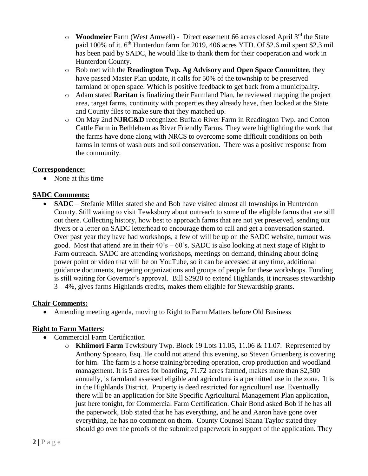- o **Woodmeier** Farm (West Amwell) Direct easement 66 acres closed April 3rd the State paid 100% of it. 6th Hunterdon farm for 2019, 406 acres YTD. Of \$2.6 mil spent \$2.3 mil has been paid by SADC, he would like to thank them for their cooperation and work in Hunterdon County.
- o Bob met with the **Readington Twp. Ag Advisory and Open Space Committee**, they have passed Master Plan update, it calls for 50% of the township to be preserved farmland or open space. Which is positive feedback to get back from a municipality.
- o Adam stated **Raritan** is finalizing their Farmland Plan, he reviewed mapping the project area, target farms, continuity with properties they already have, then looked at the State and County files to make sure that they matched up.
- o On May 2nd **NJRC&D** recognized Buffalo River Farm in Readington Twp. and Cotton Cattle Farm in Bethlehem as River Friendly Farms. They were highlighting the work that the farms have done along with NRCS to overcome some difficult conditions on both farms in terms of wash outs and soil conservation. There was a positive response from the community.

#### **Correspondence:**

• None at this time

## **SADC Comments:**

• **SADC** – Stefanie Miller stated she and Bob have visited almost all townships in Hunterdon County. Still waiting to visit Tewksbury about outreach to some of the eligible farms that are still out there. Collecting history, how best to approach farms that are not yet preserved, sending out flyers or a letter on SADC letterhead to encourage them to call and get a conversation started. Over past year they have had workshops, a few of will be up on the SADC website, turnout was good. Most that attend are in their  $40^\circ$ s –  $60^\circ$ s. SADC is also looking at next stage of Right to Farm outreach. SADC are attending workshops, meetings on demand, thinking about doing power point or video that will be on YouTube, so it can be accessed at any time, additional guidance documents, targeting organizations and groups of people for these workshops. Funding is still waiting for Governor's approval. Bill S2920 to extend Highlands, it increases stewardship 3 – 4%, gives farms Highlands credits, makes them eligible for Stewardship grants.

## **Chair Comments:**

• Amending meeting agenda, moving to Right to Farm Matters before Old Business

## **Right to Farm Matters**:

- Commercial Farm Certification
	- o **Khiimori Farm** Tewksbury Twp. Block 19 Lots 11.05, 11.06 & 11.07. Represented by Anthony Sposaro, Esq. He could not attend this evening, so Steven Gruenberg is covering for him. The farm is a horse training/breeding operation, crop production and woodland management. It is 5 acres for boarding, 71.72 acres farmed, makes more than \$2,500 annually, is farmland assessed eligible and agriculture is a permitted use in the zone. It is in the Highlands District. Property is deed restricted for agricultural use. Eventually there will be an application for Site Specific Agricultural Management Plan application, just here tonight, for Commercial Farm Certification. Chair Bond asked Bob if he has all the paperwork, Bob stated that he has everything, and he and Aaron have gone over everything, he has no comment on them. County Counsel Shana Taylor stated they should go over the proofs of the submitted paperwork in support of the application. They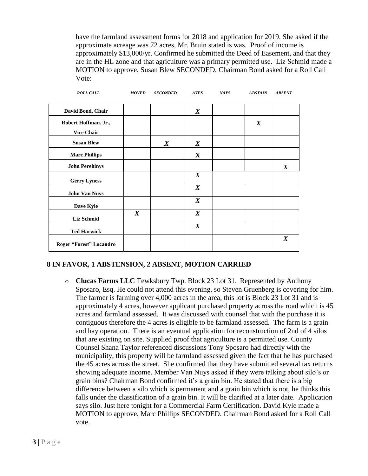have the farmland assessment forms for 2018 and application for 2019. She asked if the approximate acreage was 72 acres, Mr. Bruin stated is was. Proof of income is approximately \$13,000/yr. Confirmed he submitted the Deed of Easement, and that they are in the HL zone and that agriculture was a primary permitted use. Liz Schmid made a MOTION to approve, Susan Blew SECONDED. Chairman Bond asked for a Roll Call Vote:

| <b>ROLL CALL</b>                          | <b>MOVED</b>     | <b>SECONDED</b>  | <b>AYES</b>      | <b>NAYS</b> | <b>ABSTAIN</b>   | <b>ABSENT</b>    |
|-------------------------------------------|------------------|------------------|------------------|-------------|------------------|------------------|
| David Bond, Chair                         |                  |                  | $\boldsymbol{X}$ |             |                  |                  |
| Robert Hoffman. Jr.,<br><b>Vice Chair</b> |                  |                  |                  |             | $\boldsymbol{X}$ |                  |
| <b>Susan Blew</b>                         |                  | $\boldsymbol{X}$ | $\pmb{X}$        |             |                  |                  |
| <b>Marc Phillips</b>                      |                  |                  | X                |             |                  |                  |
| <b>John Perehinys</b>                     |                  |                  |                  |             |                  | $\boldsymbol{X}$ |
| <b>Gerry Lyness</b>                       |                  |                  | $\boldsymbol{X}$ |             |                  |                  |
| <b>John Van Nuys</b>                      |                  |                  | $\boldsymbol{X}$ |             |                  |                  |
| Dave Kyle                                 |                  |                  | $\boldsymbol{X}$ |             |                  |                  |
| <b>Liz Schmid</b>                         | $\boldsymbol{X}$ |                  | $\boldsymbol{X}$ |             |                  |                  |
| <b>Ted Harwick</b>                        |                  |                  | $\boldsymbol{X}$ |             |                  |                  |
| Roger "Forest" Locandro                   |                  |                  |                  |             |                  | $\boldsymbol{X}$ |

## **8 IN FAVOR, 1 ABSTENSION, 2 ABSENT, MOTION CARRIED**

o **Clucas Farms LLC** Tewksbury Twp. Block 23 Lot 31. Represented by Anthony Sposaro, Esq. He could not attend this evening, so Steven Gruenberg is covering for him. The farmer is farming over 4,000 acres in the area, this lot is Block 23 Lot 31 and is approximately 4 acres, however applicant purchased property across the road which is 45 acres and farmland assessed. It was discussed with counsel that with the purchase it is contiguous therefore the 4 acres is eligible to be farmland assessed. The farm is a grain and hay operation. There is an eventual application for reconstruction of 2nd of 4 silos that are existing on site. Supplied proof that agriculture is a permitted use. County Counsel Shana Taylor referenced discussions Tony Sposaro had directly with the municipality, this property will be farmland assessed given the fact that he has purchased the 45 acres across the street. She confirmed that they have submitted several tax returns showing adequate income. Member Van Nuys asked if they were talking about silo's or grain bins? Chairman Bond confirmed it's a grain bin. He stated that there is a big difference between a silo which is permanent and a grain bin which is not, he thinks this falls under the classification of a grain bin. It will be clarified at a later date. Application says silo. Just here tonight for a Commercial Farm Certification. David Kyle made a MOTION to approve, Marc Phillips SECONDED. Chairman Bond asked for a Roll Call vote.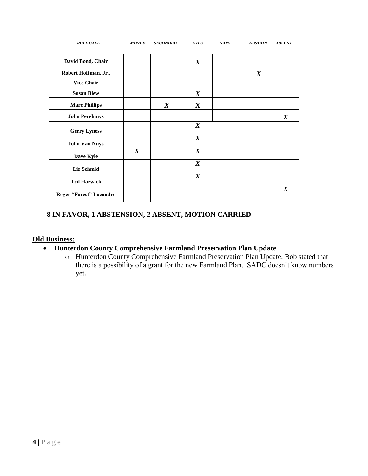| <b>ROLL CALL</b>                          | <b>MOVED</b>     | <b>SECONDED</b>  | <b>AYES</b>      | <b>NAYS</b> | <b>ABSTAIN</b>   | <b>ABSENT</b>    |
|-------------------------------------------|------------------|------------------|------------------|-------------|------------------|------------------|
| David Bond, Chair                         |                  |                  | $\boldsymbol{X}$ |             |                  |                  |
| Robert Hoffman. Jr.,<br><b>Vice Chair</b> |                  |                  |                  |             | $\boldsymbol{X}$ |                  |
| <b>Susan Blew</b>                         |                  |                  | $\boldsymbol{X}$ |             |                  |                  |
| <b>Marc Phillips</b>                      |                  | $\boldsymbol{X}$ | $\mathbf{X}$     |             |                  |                  |
| <b>John Perehinys</b>                     |                  |                  |                  |             |                  | $\boldsymbol{X}$ |
| <b>Gerry Lyness</b>                       |                  |                  | $\boldsymbol{X}$ |             |                  |                  |
| <b>John Van Nuys</b>                      |                  |                  | $\boldsymbol{X}$ |             |                  |                  |
| Dave Kyle                                 | $\boldsymbol{X}$ |                  | $\boldsymbol{X}$ |             |                  |                  |
| Liz Schmid                                |                  |                  | $\boldsymbol{X}$ |             |                  |                  |
| <b>Ted Harwick</b>                        |                  |                  | $\boldsymbol{X}$ |             |                  |                  |
| Roger "Forest" Locandro                   |                  |                  |                  |             |                  | $\boldsymbol{X}$ |

## **8 IN FAVOR, 1 ABSTENSION, 2 ABSENT, MOTION CARRIED**

## **Old Business:**

## • **Hunterdon County Comprehensive Farmland Preservation Plan Update**

o Hunterdon County Comprehensive Farmland Preservation Plan Update. Bob stated that there is a possibility of a grant for the new Farmland Plan. SADC doesn't know numbers yet.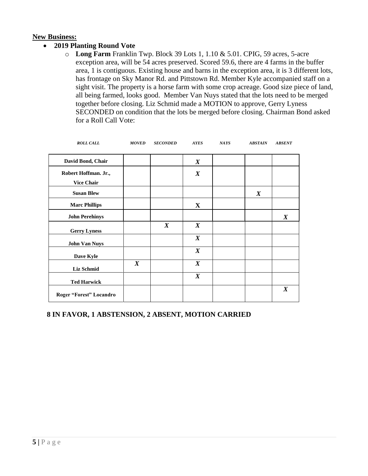#### **New Business:**

## • **2019 Planting Round Vote**

o **Long Farm** Franklin Twp. Block 39 Lots 1, 1.10 & 5.01. CPIG, 59 acres, 5-acre exception area, will be 54 acres preserved. Scored 59.6, there are 4 farms in the buffer area, 1 is contiguous. Existing house and barns in the exception area, it is 3 different lots, has frontage on Sky Manor Rd. and Pittstown Rd. Member Kyle accompanied staff on a sight visit. The property is a horse farm with some crop acreage. Good size piece of land, all being farmed, looks good. Member Van Nuys stated that the lots need to be merged together before closing. Liz Schmid made a MOTION to approve, Gerry Lyness SECONDED on condition that the lots be merged before closing. Chairman Bond asked for a Roll Call Vote:

| <b>ROLL CALL</b>        | <b>MOVED</b>     | <b>SECONDED</b>  | <b>AYES</b>      | <b>NAYS</b> | <b>ABSTAIN</b>   | <b>ABSENT</b>    |
|-------------------------|------------------|------------------|------------------|-------------|------------------|------------------|
| David Bond, Chair       |                  |                  | $\boldsymbol{X}$ |             |                  |                  |
| Robert Hoffman. Jr.,    |                  |                  | $\boldsymbol{X}$ |             |                  |                  |
| <b>Vice Chair</b>       |                  |                  |                  |             |                  |                  |
| <b>Susan Blew</b>       |                  |                  |                  |             | $\boldsymbol{X}$ |                  |
| <b>Marc Phillips</b>    |                  |                  | X                |             |                  |                  |
| <b>John Perehinys</b>   |                  |                  |                  |             |                  | $\boldsymbol{X}$ |
| <b>Gerry Lyness</b>     |                  | $\boldsymbol{X}$ | $\boldsymbol{X}$ |             |                  |                  |
| <b>John Van Nuys</b>    |                  |                  | $\boldsymbol{X}$ |             |                  |                  |
| Dave Kyle               |                  |                  | $\boldsymbol{X}$ |             |                  |                  |
| Liz Schmid              | $\boldsymbol{X}$ |                  | $\boldsymbol{X}$ |             |                  |                  |
| <b>Ted Harwick</b>      |                  |                  | $\boldsymbol{X}$ |             |                  |                  |
| Roger "Forest" Locandro |                  |                  |                  |             |                  | $\boldsymbol{X}$ |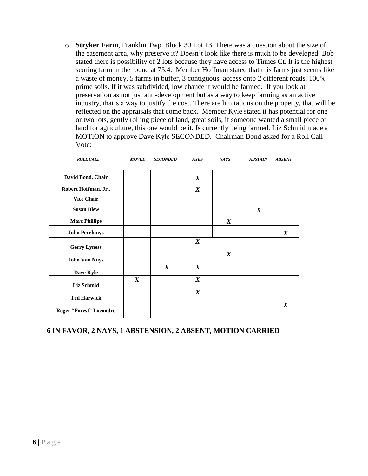o **Stryker Farm**, Franklin Twp. Block 30 Lot 13. There was a question about the size of the easement area, why preserve it? Doesn't look like there is much to be developed. Bob stated there is possibility of 2 lots because they have access to Tinnes Ct. It is the highest scoring farm in the round at 75.4. Member Hoffman stated that this farms just seems like a waste of money. 5 farms in buffer, 3 contiguous, access onto 2 different roads. 100% prime soils. If it was subdivided, low chance it would be farmed. If you look at preservation as not just anti-development but as a way to keep farming as an active industry, that's a way to justify the cost. There are limitations on the property, that will be reflected on the appraisals that come back. Member Kyle stated it has potential for one or two lots, gently rolling piece of land, great soils, if someone wanted a small piece of land for agriculture, this one would be it. Is currently being farmed. Liz Schmid made a MOTION to approve Dave Kyle SECONDED. Chairman Bond asked for a Roll Call Vote:

| <b>ROLL CALL</b>        | <b>MOVED</b>     | <b>SECONDED</b>  | <b>AYES</b>      | <b>NAYS</b>      | <b>ABSTAIN</b>   | <b>ABSENT</b>    |
|-------------------------|------------------|------------------|------------------|------------------|------------------|------------------|
| David Bond, Chair       |                  |                  | $\boldsymbol{X}$ |                  |                  |                  |
| Robert Hoffman. Jr.,    |                  |                  | $\boldsymbol{X}$ |                  |                  |                  |
| <b>Vice Chair</b>       |                  |                  |                  |                  |                  |                  |
| <b>Susan Blew</b>       |                  |                  |                  |                  | $\boldsymbol{X}$ |                  |
| <b>Marc Phillips</b>    |                  |                  |                  | $\boldsymbol{X}$ |                  |                  |
| <b>John Perehinys</b>   |                  |                  |                  |                  |                  | $\boldsymbol{X}$ |
| <b>Gerry Lyness</b>     |                  |                  | $\boldsymbol{X}$ |                  |                  |                  |
| <b>John Van Nuys</b>    |                  |                  |                  | $\boldsymbol{X}$ |                  |                  |
| Dave Kyle               |                  | $\boldsymbol{X}$ | $\boldsymbol{X}$ |                  |                  |                  |
| Liz Schmid              | $\boldsymbol{X}$ |                  | $\boldsymbol{X}$ |                  |                  |                  |
| <b>Ted Harwick</b>      |                  |                  | $\boldsymbol{X}$ |                  |                  |                  |
| Roger "Forest" Locandro |                  |                  |                  |                  |                  | $\boldsymbol{X}$ |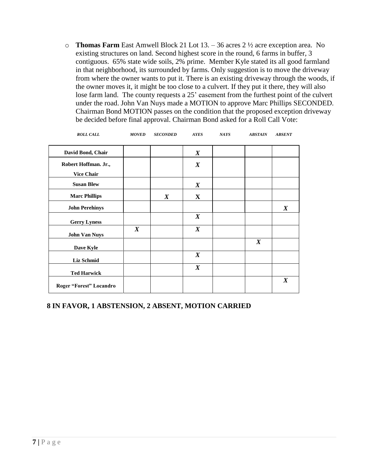o **Thomas Farm** East Amwell Block 21 Lot 13. – 36 acres 2 ½ acre exception area. No existing structures on land. Second highest score in the round, 6 farms in buffer, 3 contiguous. 65% state wide soils, 2% prime. Member Kyle stated its all good farmland in that neighborhood, its surrounded by farms. Only suggestion is to move the driveway from where the owner wants to put it. There is an existing driveway through the woods, if the owner moves it, it might be too close to a culvert. If they put it there, they will also lose farm land. The county requests a 25' easement from the furthest point of the culvert under the road. John Van Nuys made a MOTION to approve Marc Phillips SECONDED. Chairman Bond MOTION passes on the condition that the proposed exception driveway be decided before final approval. Chairman Bond asked for a Roll Call Vote:

| <b>ROLL CALL</b>                          | <b>MOVED</b>     | <b>SECONDED</b>  | <b>AYES</b>      | <b>NAYS</b> | <b>ABSTAIN</b>   | <b>ABSENT</b>    |
|-------------------------------------------|------------------|------------------|------------------|-------------|------------------|------------------|
| David Bond, Chair                         |                  |                  | $\boldsymbol{X}$ |             |                  |                  |
| Robert Hoffman. Jr.,<br><b>Vice Chair</b> |                  |                  | $\boldsymbol{X}$ |             |                  |                  |
| <b>Susan Blew</b>                         |                  |                  | $\boldsymbol{X}$ |             |                  |                  |
| <b>Marc Phillips</b>                      |                  | $\boldsymbol{X}$ | $\mathbf{X}$     |             |                  |                  |
| <b>John Perehinys</b>                     |                  |                  |                  |             |                  | $\boldsymbol{X}$ |
| <b>Gerry Lyness</b>                       |                  |                  | $\boldsymbol{X}$ |             |                  |                  |
| <b>John Van Nuys</b>                      | $\boldsymbol{X}$ |                  | $\boldsymbol{X}$ |             |                  |                  |
| Dave Kyle                                 |                  |                  |                  |             | $\boldsymbol{X}$ |                  |
| <b>Liz Schmid</b>                         |                  |                  | $\boldsymbol{X}$ |             |                  |                  |
| <b>Ted Harwick</b>                        |                  |                  | $\boldsymbol{X}$ |             |                  |                  |
| Roger "Forest" Locandro                   |                  |                  |                  |             |                  | $\boldsymbol{X}$ |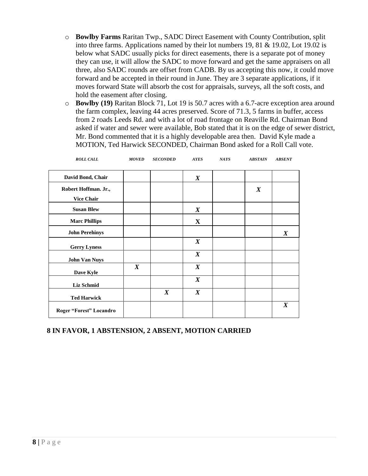- o **Bowlby Farms** Raritan Twp., SADC Direct Easement with County Contribution, split into three farms. Applications named by their lot numbers 19, 81 & 19.02, Lot 19.02 is below what SADC usually picks for direct easements, there is a separate pot of money they can use, it will allow the SADC to move forward and get the same appraisers on all three, also SADC rounds are offset from CADB. By us accepting this now, it could move forward and be accepted in their round in June. They are 3 separate applications, if it moves forward State will absorb the cost for appraisals, surveys, all the soft costs, and hold the easement after closing.
- o **Bowlby (19)** Raritan Block 71, Lot 19 is 50.7 acres with a 6.7-acre exception area around the farm complex, leaving 44 acres preserved. Score of 71.3, 5 farms in buffer, access from 2 roads Leeds Rd. and with a lot of road frontage on Reaville Rd. Chairman Bond asked if water and sewer were available, Bob stated that it is on the edge of sewer district, Mr. Bond commented that it is a highly developable area then. David Kyle made a MOTION, Ted Harwick SECONDED, Chairman Bond asked for a Roll Call vote.

| <b>ROLL CALL</b>                          | <b>MOVED</b>     | <b>SECONDED</b>  | <b>AYES</b>      | <b>NAYS</b> | <b>ABSTAIN</b>   | <b>ABSENT</b>    |
|-------------------------------------------|------------------|------------------|------------------|-------------|------------------|------------------|
| David Bond, Chair                         |                  |                  | $\boldsymbol{X}$ |             |                  |                  |
| Robert Hoffman. Jr.,<br><b>Vice Chair</b> |                  |                  |                  |             | $\boldsymbol{X}$ |                  |
| <b>Susan Blew</b>                         |                  |                  | $\boldsymbol{X}$ |             |                  |                  |
| <b>Marc Phillips</b>                      |                  |                  | $\mathbf{X}$     |             |                  |                  |
| <b>John Perehinys</b>                     |                  |                  |                  |             |                  | $\boldsymbol{X}$ |
| <b>Gerry Lyness</b>                       |                  |                  | $\boldsymbol{X}$ |             |                  |                  |
| <b>John Van Nuys</b>                      |                  |                  | $\boldsymbol{X}$ |             |                  |                  |
| Dave Kyle                                 | $\boldsymbol{X}$ |                  | $\boldsymbol{X}$ |             |                  |                  |
| Liz Schmid                                |                  |                  | $\boldsymbol{X}$ |             |                  |                  |
| <b>Ted Harwick</b>                        |                  | $\boldsymbol{X}$ | $\boldsymbol{X}$ |             |                  |                  |
| Roger "Forest" Locandro                   |                  |                  |                  |             |                  | $\boldsymbol{X}$ |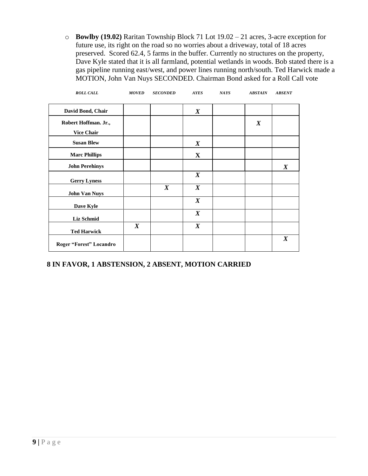o **Bowlby (19.02)** Raritan Township Block 71 Lot 19.02 – 21 acres, 3-acre exception for future use, its right on the road so no worries about a driveway, total of 18 acres preserved. Scored 62.4, 5 farms in the buffer. Currently no structures on the property, Dave Kyle stated that it is all farmland, potential wetlands in woods. Bob stated there is a gas pipeline running east/west, and power lines running north/south. Ted Harwick made a MOTION, John Van Nuys SECONDED. Chairman Bond asked for a Roll Call vote

| <b>ROLL CALL</b>                          | <b>MOVED</b>     | <b>SECONDED</b>  | <b>AYES</b>      | <b>NAYS</b> | <b>ABSTAIN</b>   | <b>ABSENT</b>    |
|-------------------------------------------|------------------|------------------|------------------|-------------|------------------|------------------|
| David Bond, Chair                         |                  |                  | $\boldsymbol{X}$ |             |                  |                  |
| Robert Hoffman. Jr.,<br><b>Vice Chair</b> |                  |                  |                  |             | $\boldsymbol{X}$ |                  |
| <b>Susan Blew</b>                         |                  |                  | $\boldsymbol{X}$ |             |                  |                  |
| <b>Marc Phillips</b>                      |                  |                  | X                |             |                  |                  |
| <b>John Perehinys</b>                     |                  |                  |                  |             |                  | $\boldsymbol{X}$ |
| <b>Gerry Lyness</b>                       |                  |                  | $\boldsymbol{X}$ |             |                  |                  |
| <b>John Van Nuys</b>                      |                  | $\boldsymbol{X}$ | $\boldsymbol{X}$ |             |                  |                  |
| Dave Kyle                                 |                  |                  | $\boldsymbol{X}$ |             |                  |                  |
| Liz Schmid                                |                  |                  | $\boldsymbol{X}$ |             |                  |                  |
| <b>Ted Harwick</b>                        | $\boldsymbol{X}$ |                  | $\boldsymbol{X}$ |             |                  |                  |
| Roger "Forest" Locandro                   |                  |                  |                  |             |                  | $\boldsymbol{X}$ |